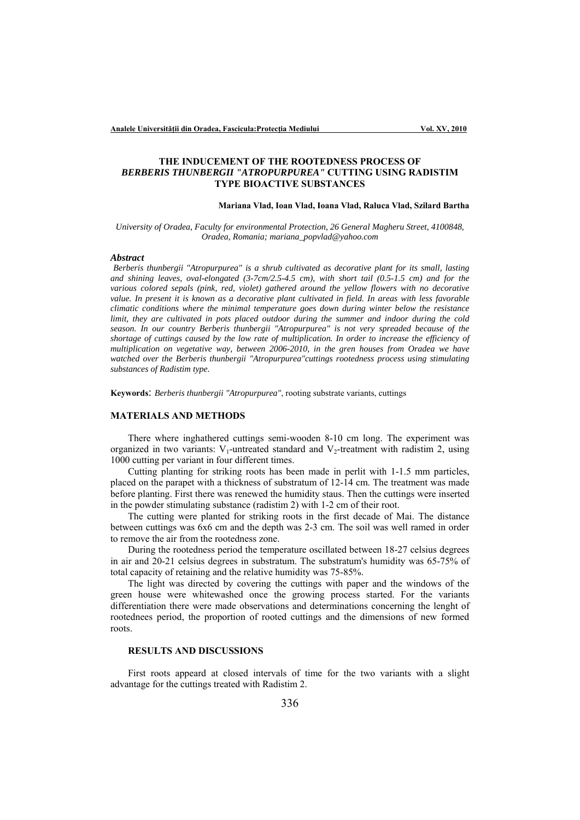# **THE INDUCEMENT OF THE ROOTEDNESS PROCESS OF**  *BERBERIS THUNBERGII "ATROPURPUREA"* **CUTTING USING RADISTIM TYPE BIOACTIVE SUBSTANCES**

### **Mariana Vlad, Ioan Vlad, Ioana Vlad, Raluca Vlad, Szilard Bartha**

*University of Oradea, Faculty for environmental Protection, 26 General Magheru Street, 4100848, Oradea, Romania; mariana\_popvlad@yahoo.com* 

#### *Abstract*

*Berberis thunbergii "Atropurpurea" is a shrub cultivated as decorative plant for its small, lasting and shining leaves, oval-elongated (3-7cm/2.5-4.5 cm), with short tail (0.5-1.5 cm) and for the various colored sepals (pink, red, violet) gathered around the yellow flowers with no decorative value. In present it is known as a decorative plant cultivated in field. In areas with less favorable climatic conditions where the minimal temperature goes down during winter below the resistance limit, they are cultivated in pots placed outdoor during the summer and indoor during the cold season. In our country Berberis thunbergii "Atropurpurea" is not very spreaded because of the shortage of cuttings caused by the low rate of multiplication. In order to increase the efficiency of multiplication on vegetative way, between 2006-2010, in the gren houses from Oradea we have watched over the Berberis thunbergii "Atropurpurea"cuttings rootedness process using stimulating substances of Radistim type.*

**Keywords**: *Berberis thunbergii "Atropurpurea"*, rooting substrate variants, cuttings

## **MATERIALS AND METHODS**

There where inghathered cuttings semi-wooden 8-10 cm long. The experiment was organized in two variants:  $V_1$ -untreated standard and  $V_2$ -treatment with radistim 2, using 1000 cutting per variant in four different times.

Cutting planting for striking roots has been made in perlit with 1-1.5 mm particles, placed on the parapet with a thickness of substratum of 12-14 cm. The treatment was made before planting. First there was renewed the humidity staus. Then the cuttings were inserted in the powder stimulating substance (radistim 2) with 1-2 cm of their root.

The cutting were planted for striking roots in the first decade of Mai. The distance between cuttings was 6x6 cm and the depth was 2-3 cm. The soil was well ramed in order to remove the air from the rootedness zone.

During the rootedness period the temperature oscillated between 18-27 celsius degrees in air and 20-21 celsius degrees in substratum. The substratum's humidity was 65-75% of total capacity of retaining and the relative humidity was 75-85%.

The light was directed by covering the cuttings with paper and the windows of the green house were whitewashed once the growing process started. For the variants differentiation there were made observations and determinations concerning the lenght of rootednees period, the proportion of rooted cuttings and the dimensions of new formed roots.

## **RESULTS AND DISCUSSIONS**

First roots appeard at closed intervals of time for the two variants with a slight advantage for the cuttings treated with Radistim 2.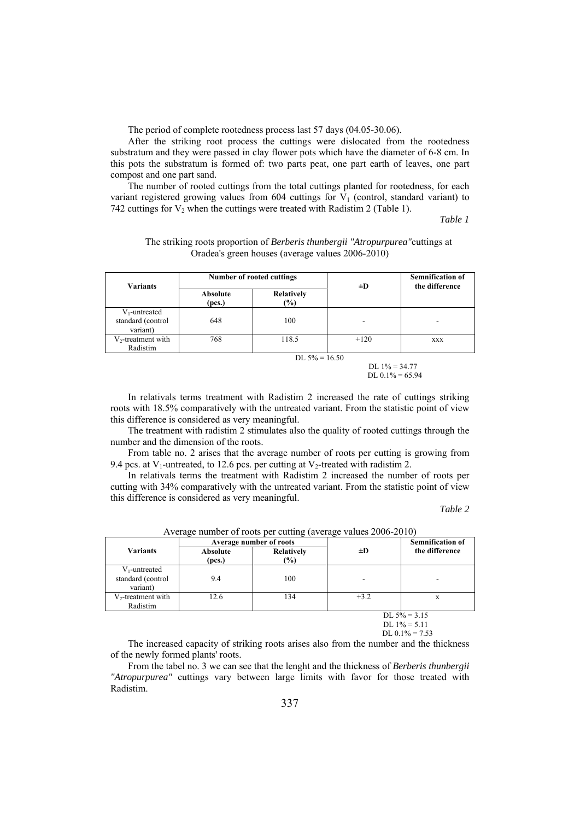The period of complete rootedness process last 57 days (04.05-30.06).

After the striking root process the cuttings were dislocated from the rootedness substratum and they were passed in clay flower pots which have the diameter of 6-8 cm. In this pots the substratum is formed of: two parts peat, one part earth of leaves, one part compost and one part sand.

The number of rooted cuttings from the total cuttings planted for rootedness, for each variant registered growing values from  $604$  cuttings for  $V_1$  (control, standard variant) to 742 cuttings for  $V_2$  when the cuttings were treated with Radistim 2 (Table 1).

*Table 1* 

| The striking roots proportion of Berberis thunbergii "Atropurpurea" cuttings at |
|---------------------------------------------------------------------------------|
| Oradea's green houses (average values 2006-2010)                                |

| <b>Variants</b>                                   | <b>Number of rooted cuttings</b> |                             | $\pm D$ | <b>Semnification of</b><br>the difference |  |
|---------------------------------------------------|----------------------------------|-----------------------------|---------|-------------------------------------------|--|
|                                                   | <b>Absolute</b><br>(pcs.)        | <b>Relatively</b><br>$(\%)$ |         |                                           |  |
| $V_1$ -untreated<br>standard (control<br>variant) | 648                              | 100                         | ۰       | -                                         |  |
| $V_2$ -treatment with<br>Radistim                 | 768                              | 118.5                       | $+120$  | <b>XXX</b>                                |  |
|                                                   | DL $5\% = 16.50$                 |                             |         |                                           |  |

DL  $1\% = 34.77$ DL 0.1% = 65.94

In relativals terms treatment with Radistim 2 increased the rate of cuttings striking roots with 18.5% comparatively with the untreated variant. From the statistic point of view this difference is considered as very meaningful.

The treatment with radistim 2 stimulates also the quality of rooted cuttings through the number and the dimension of the roots.

From table no. 2 arises that the average number of roots per cutting is growing from 9.4 pcs. at  $V_1$ -untreated, to 12.6 pcs. per cutting at  $V_2$ -treated with radistim 2.

In relativals terms the treatment with Radistim 2 increased the number of roots per cutting with 34% comparatively with the untreated variant. From the statistic point of view this difference is considered as very meaningful.

*Table 2* 

| <b>Variants</b>                                   | Average number of roots |                                    |                          | <b>Semnification of</b> |
|---------------------------------------------------|-------------------------|------------------------------------|--------------------------|-------------------------|
|                                                   | Absolute<br>(pcs.)      | <b>Relatively</b><br>$\frac{9}{9}$ | $\pm D$                  | the difference          |
| $V_1$ -untreated<br>standard (control<br>variant) | 9.4                     | 100                                | $\overline{\phantom{a}}$ |                         |
| $V_2$ -treatment with<br>Radistim                 | 12.6                    | 134                                | $+3.2$                   | X                       |
| DL $5\% = 3.15$<br>NT 10/7 11                     |                         |                                    |                          |                         |

Average number of roots per cutting (average values 2006-2010)

DL  $1\% = 5.11$ DL  $0.1\% = 7.53$ 

The increased capacity of striking roots arises also from the number and the thickness of the newly formed plants' roots.

From the tabel no. 3 we can see that the lenght and the thickness of *Berberis thunbergii "Atropurpurea"* cuttings vary between large limits with favor for those treated with Radistim.